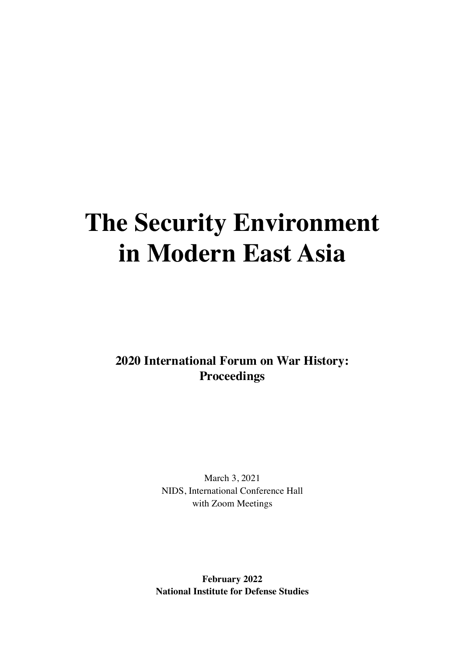## **The Security Environment in Modern East Asia**

**2020 International Forum on War History: Proceedings**

> March 3, 2021 NIDS, International Conference Hall with Zoom Meetings

**February 2022 National Institute for Defense Studies**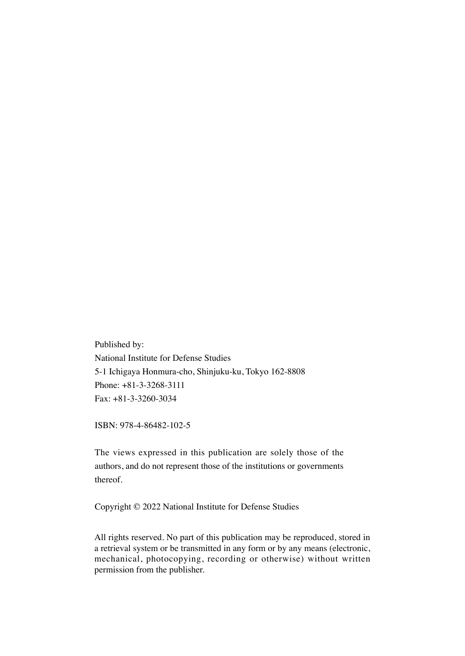Published by: National Institute for Defense Studies 5-1 Ichigaya Honmura-cho, Shinjuku-ku, Tokyo 162-8808 Phone: +81-3-3268-3111 Fax: +81-3-3260-3034

ISBN: 978-4-86482-102-5

The views expressed in this publication are solely those of the authors, and do not represent those of the institutions or governments thereof.

Copyright © 2022 National Institute for Defense Studies

All rights reserved. No part of this publication may be reproduced, stored in a retrieval system or be transmitted in any form or by any means (electronic, mechanical, photocopying, recording or otherwise) without written permission from the publisher.